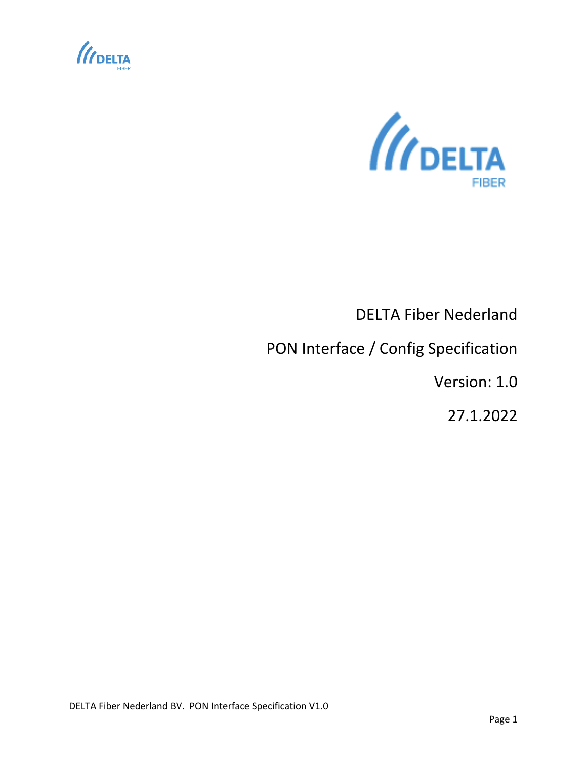



# DELTA Fiber Nederland

## PON Interface / Config Specification

Version: 1.0

27.1.2022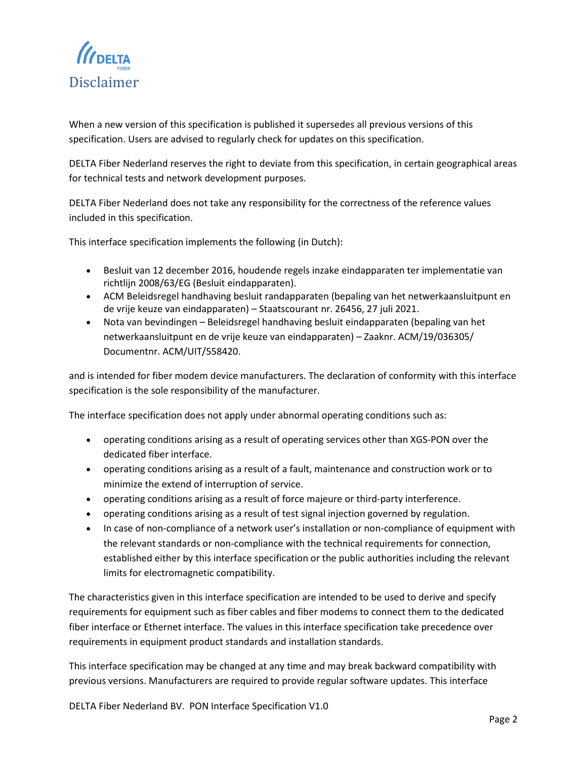<span id="page-1-0"></span>

When a new version of this specification is published it supersedes all previous versions of this specification. Users are advised to regularly check for updates on this specification.

DELTA Fiber Nederland reserves the right to deviate from this specification, in certain geographical areas for technical tests and network development purposes.

DELTA Fiber Nederland does not take any responsibility for the correctness of the reference values included in this specification.

This interface specification implements the following (in Dutch):

- Besluit van 12 december 2016, houdende regels inzake eindapparaten ter implementatie van richtlijn 2008/63/EG (Besluit eindapparaten).
- ACM Beleidsregel handhaving besluit randapparaten (bepaling van het netwerkaansluitpunt en de vrije keuze van eindapparaten) – Staatscourant nr. 26456, 27 juli 2021.
- Nota van bevindingen Beleidsregel handhaving besluit eindapparaten (bepaling van het netwerkaansluitpunt en de vrije keuze van eindapparaten) – Zaaknr. ACM/19/036305/ Documentnr. ACM/UIT/558420.

and is intended for fiber modem device manufacturers. The declaration of conformity with this interface specification is the sole responsibility of the manufacturer.

The interface specification does not apply under abnormal operating conditions such as:

- operating conditions arising as a result of operating services other than XGS-PON over the dedicated fiber interface.
- operating conditions arising as a result of a fault, maintenance and construction work or to minimize the extend of interruption of service.
- operating conditions arising as a result of force majeure or third-party interference.
- operating conditions arising as a result of test signal injection governed by regulation.
- In case of non-compliance of a network user's installation or non-compliance of equipment with the relevant standards or non-compliance with the technical requirements for connection, established either by this interface specification or the public authorities including the relevant limits for electromagnetic compatibility.

The characteristics given in this interface specification are intended to be used to derive and specify requirements for equipment such as fiber cables and fiber modems to connect them to the dedicated fiber interface or Ethernet interface. The values in this interface specification take precedence over requirements in equipment product standards and installation standards.

This interface specification may be changed at any time and may break backward compatibility with previous versions. Manufacturers are required to provide regular software updates. This interface

DELTA Fiber Nederland BV. PON Interface Specification V1.0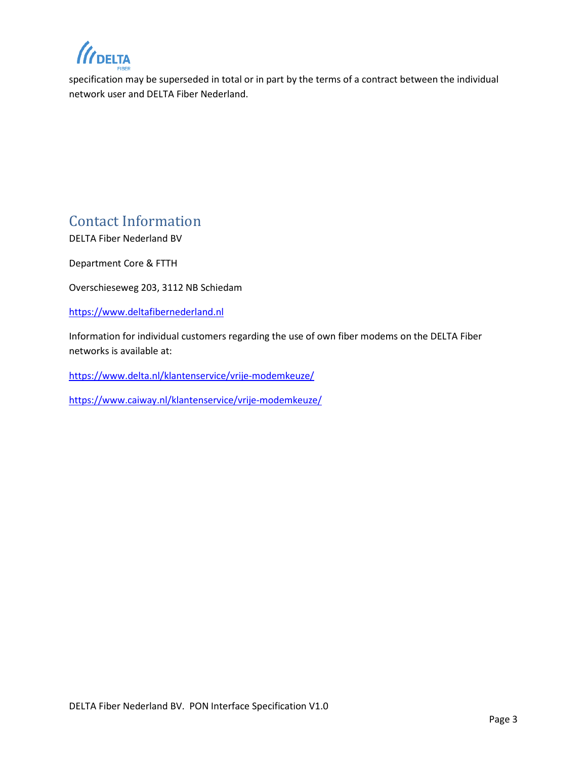*II* DELTA

specification may be superseded in total or in part by the terms of a contract between the individual network user and DELTA Fiber Nederland.

## <span id="page-2-0"></span>Contact Information

DELTA Fiber Nederland BV

Department Core & FTTH

Overschieseweg 203, 3112 NB Schiedam

[https://www.deltafibernederland.nl](https://www.deltafibernederland.nl/)

Information for individual customers regarding the use of own fiber modems on the DELTA Fiber networks is available at:

<https://www.delta.nl/klantenservice/vrije-modemkeuze/>

<https://www.caiway.nl/klantenservice/vrije-modemkeuze/>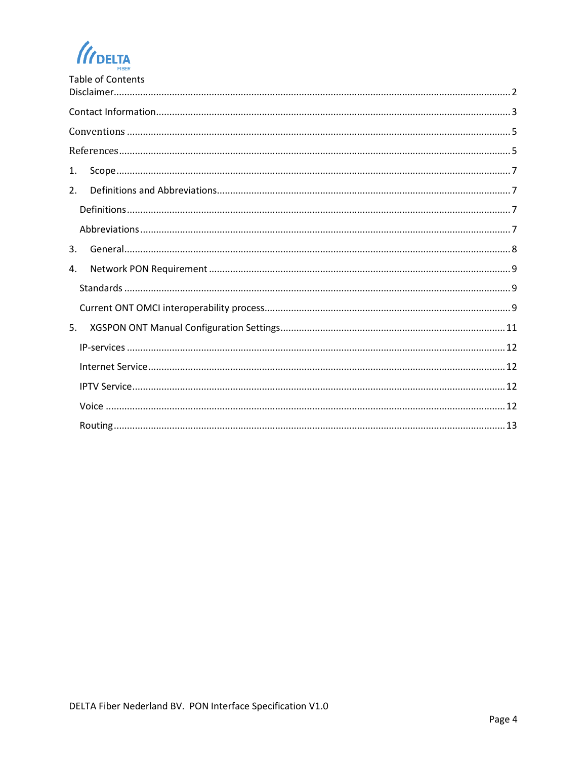$\mathcal U$ DELTA

| <b>Table of Contents</b> |
|--------------------------|
|                          |
|                          |
|                          |
| 1.                       |
| 2.                       |
|                          |
|                          |
| 3.                       |
| 4.                       |
|                          |
|                          |
| 5.                       |
|                          |
|                          |
|                          |
|                          |
|                          |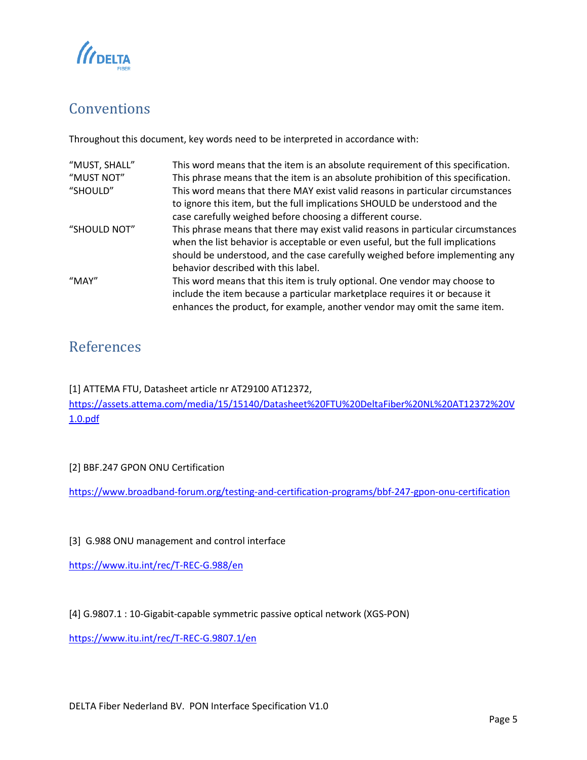

## <span id="page-4-0"></span>Conventions

Throughout this document, key words need to be interpreted in accordance with:

| "MUST, SHALL" | This word means that the item is an absolute requirement of this specification.   |
|---------------|-----------------------------------------------------------------------------------|
| "MUST NOT"    | This phrase means that the item is an absolute prohibition of this specification. |
| "SHOULD"      | This word means that there MAY exist valid reasons in particular circumstances    |
|               | to ignore this item, but the full implications SHOULD be understood and the       |
|               | case carefully weighed before choosing a different course.                        |
| "SHOULD NOT"  | This phrase means that there may exist valid reasons in particular circumstances  |
|               | when the list behavior is acceptable or even useful, but the full implications    |
|               | should be understood, and the case carefully weighed before implementing any      |
|               | behavior described with this label.                                               |
| "MAY"         | This word means that this item is truly optional. One vendor may choose to        |
|               | include the item because a particular marketplace requires it or because it       |
|               | enhances the product, for example, another vendor may omit the same item.         |

## <span id="page-4-1"></span>References

[1] ATTEMA FTU, Datasheet article nr AT29100 AT12372,

[https://assets.attema.com/media/15/15140/Datasheet%20FTU%20DeltaFiber%20NL%20AT12372%20V](https://eur01.safelinks.protection.outlook.com/?url=https%3A%2F%2Fassets.attema.com%2Fmedia%2F15%2F15140%2FDatasheet%2520FTU%2520DeltaFiber%2520NL%2520AT12372%2520V1.0.pdf&data=04%7C01%7Cbart.frambach%40deltafiber.nl%7Cac982b165c304df0498108d9e0d37734%7C14ddeb6c2acb43578a39be0995309642%7C0%7C0%7C637788021273391088%7CUnknown%7CTWFpbGZsb3d8eyJWIjoiMC4wLjAwMDAiLCJQIjoiV2luMzIiLCJBTiI6Ik1haWwiLCJXVCI6Mn0%3D%7C3000&sdata=yjsI%2BcjkvvNptlk%2FmYl9501xkGcWw7Y3s4sN3UBDF1M%3D&reserved=0) [1.0.pdf](https://eur01.safelinks.protection.outlook.com/?url=https%3A%2F%2Fassets.attema.com%2Fmedia%2F15%2F15140%2FDatasheet%2520FTU%2520DeltaFiber%2520NL%2520AT12372%2520V1.0.pdf&data=04%7C01%7Cbart.frambach%40deltafiber.nl%7Cac982b165c304df0498108d9e0d37734%7C14ddeb6c2acb43578a39be0995309642%7C0%7C0%7C637788021273391088%7CUnknown%7CTWFpbGZsb3d8eyJWIjoiMC4wLjAwMDAiLCJQIjoiV2luMzIiLCJBTiI6Ik1haWwiLCJXVCI6Mn0%3D%7C3000&sdata=yjsI%2BcjkvvNptlk%2FmYl9501xkGcWw7Y3s4sN3UBDF1M%3D&reserved=0)

### [2] BBF.247 GPON ONU Certification

<https://www.broadband-forum.org/testing-and-certification-programs/bbf-247-gpon-onu-certification>

[3] G.988 ONU management and control interface

<https://www.itu.int/rec/T-REC-G.988/en>

[4] G.9807.1 : 10-Gigabit-capable symmetric passive optical network (XGS-PON)

<https://www.itu.int/rec/T-REC-G.9807.1/en>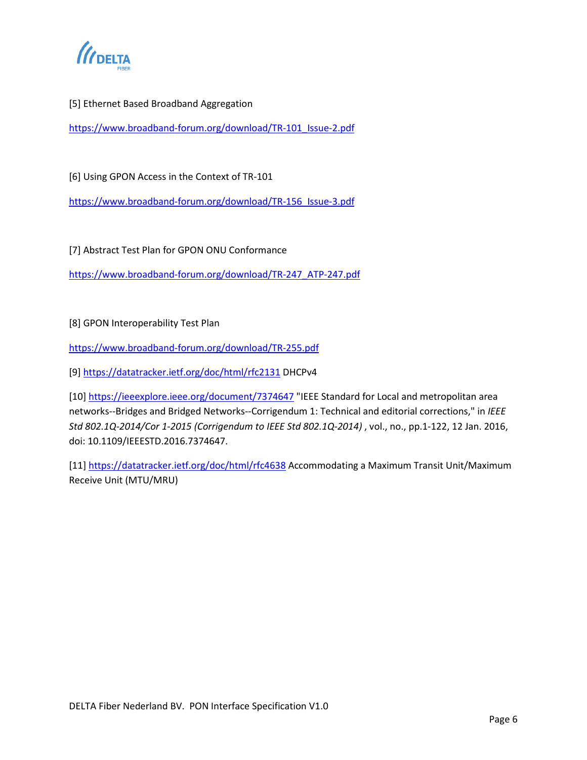

### [5] Ethernet Based Broadband Aggregation

[https://www.broadband-forum.org/download/TR-101\\_Issue-2.pdf](https://www.broadband-forum.org/download/TR-101_Issue-2.pdf)

[6] Using GPON Access in the Context of TR-101

[https://www.broadband-forum.org/download/TR-156\\_Issue-3.pdf](https://www.broadband-forum.org/download/TR-156_Issue-3.pdf)

[7] Abstract Test Plan for GPON ONU Conformance

[https://www.broadband-forum.org/download/TR-247\\_ATP-247.pdf](https://www.broadband-forum.org/download/TR-247_ATP-247.pdf)

### [8] GPON Interoperability Test Plan

<https://www.broadband-forum.org/download/TR-255.pdf>

[9] [https://datatracker.ietf.org/doc/html/rfc2131](https://datatracker.ietf.org/doc/html/rfc2131%20DHCPv4) DHCPv4

[10[\] https://ieeexplore.ieee.org/document/7374647](https://ieeexplore.ieee.org/document/7374647) "IEEE Standard for Local and metropolitan area networks--Bridges and Bridged Networks--Corrigendum 1: Technical and editorial corrections," in *IEEE Std 802.1Q-2014/Cor 1-2015 (Corrigendum to IEEE Std 802.1Q-2014)* , vol., no., pp.1-122, 12 Jan. 2016, doi: 10.1109/IEEESTD.2016.7374647.

[11] <https://datatracker.ietf.org/doc/html/rfc4638> Accommodating a Maximum Transit Unit/Maximum Receive Unit (MTU/MRU)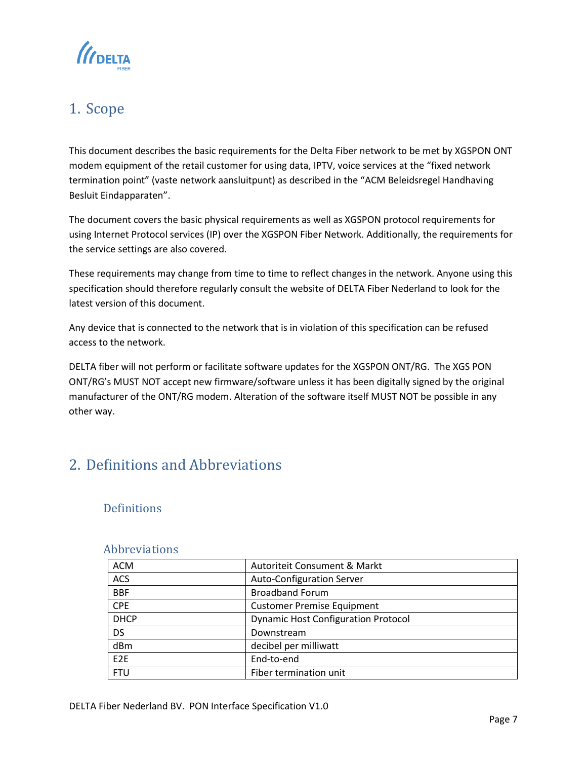

## <span id="page-6-0"></span>1. Scope

This document describes the basic requirements for the Delta Fiber network to be met by XGSPON ONT modem equipment of the retail customer for using data, IPTV, voice services at the "fixed network termination point" (vaste network aansluitpunt) as described in the "ACM Beleidsregel Handhaving Besluit Eindapparaten".

The document covers the basic physical requirements as well as XGSPON protocol requirements for using Internet Protocol services (IP) over the XGSPON Fiber Network. Additionally, the requirements for the service settings are also covered.

These requirements may change from time to time to reflect changes in the network. Anyone using this specification should therefore regularly consult the website of DELTA Fiber Nederland to look for the latest version of this document.

Any device that is connected to the network that is in violation of this specification can be refused access to the network.

DELTA fiber will not perform or facilitate software updates for the XGSPON ONT/RG. The XGS PON ONT/RG's MUST NOT accept new firmware/software unless it has been digitally signed by the original manufacturer of the ONT/RG modem. Alteration of the software itself MUST NOT be possible in any other way.

## <span id="page-6-1"></span>2. Definitions and Abbreviations

## <span id="page-6-2"></span>**Definitions**

### <span id="page-6-3"></span>Abbreviations

| <b>ACM</b>      | Autoriteit Consument & Markt               |
|-----------------|--------------------------------------------|
| <b>ACS</b>      | <b>Auto-Configuration Server</b>           |
| <b>BBF</b>      | <b>Broadband Forum</b>                     |
| <b>CPE</b>      | <b>Customer Premise Equipment</b>          |
| <b>DHCP</b>     | <b>Dynamic Host Configuration Protocol</b> |
| <b>DS</b>       | Downstream                                 |
| dBm             | decibel per milliwatt                      |
| F <sub>2F</sub> | End-to-end                                 |
| <b>FTU</b>      | Fiber termination unit                     |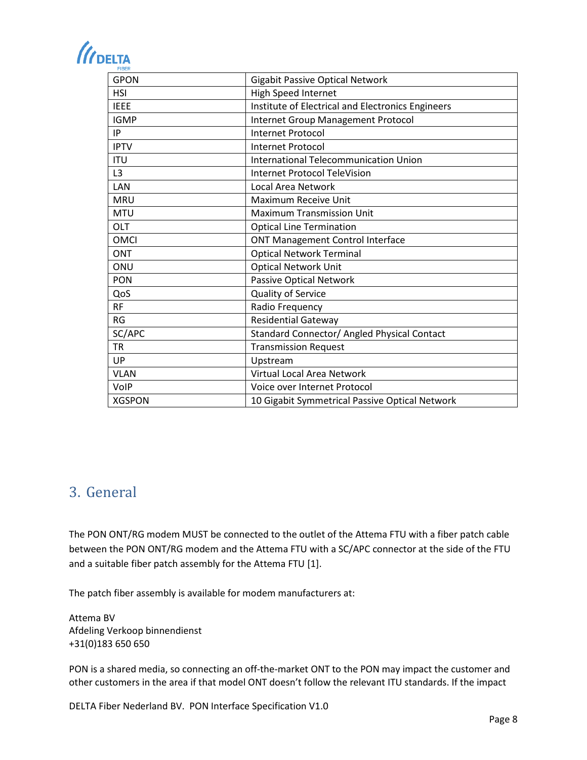# *(IDELTA*

| <b>GPON</b>    | <b>Gigabit Passive Optical Network</b>            |
|----------------|---------------------------------------------------|
| <b>HSI</b>     | High Speed Internet                               |
| <b>IEEE</b>    | Institute of Electrical and Electronics Engineers |
| <b>IGMP</b>    | Internet Group Management Protocol                |
| IP             | <b>Internet Protocol</b>                          |
| <b>IPTV</b>    | Internet Protocol                                 |
| <b>ITU</b>     | International Telecommunication Union             |
| L <sub>3</sub> | <b>Internet Protocol TeleVision</b>               |
| LAN            | Local Area Network                                |
| <b>MRU</b>     | Maximum Receive Unit                              |
| <b>MTU</b>     | <b>Maximum Transmission Unit</b>                  |
| OLT            | <b>Optical Line Termination</b>                   |
| <b>OMCI</b>    | <b>ONT Management Control Interface</b>           |
| ONT            | <b>Optical Network Terminal</b>                   |
| ONU            | <b>Optical Network Unit</b>                       |
| PON            | Passive Optical Network                           |
| QoS            | Quality of Service                                |
| <b>RF</b>      | Radio Frequency                                   |
| <b>RG</b>      | <b>Residential Gateway</b>                        |
| SC/APC         | Standard Connector/ Angled Physical Contact       |
| <b>TR</b>      | <b>Transmission Request</b>                       |
| UP             | Upstream                                          |
| <b>VLAN</b>    | Virtual Local Area Network                        |
| VolP           | Voice over Internet Protocol                      |
| <b>XGSPON</b>  | 10 Gigabit Symmetrical Passive Optical Network    |

## <span id="page-7-0"></span>3. General

The PON ONT/RG modem MUST be connected to the outlet of the Attema FTU with a fiber patch cable between the PON ONT/RG modem and the Attema FTU with a SC/APC connector at the side of the FTU and a suitable fiber patch assembly for the Attema FTU [1].

The patch fiber assembly is available for modem manufacturers at:

Attema BV Afdeling Verkoop binnendienst +31(0)183 650 650

PON is a shared media, so connecting an off-the-market ONT to the PON may impact the customer and other customers in the area if that model ONT doesn't follow the relevant ITU standards. If the impact

DELTA Fiber Nederland BV. PON Interface Specification V1.0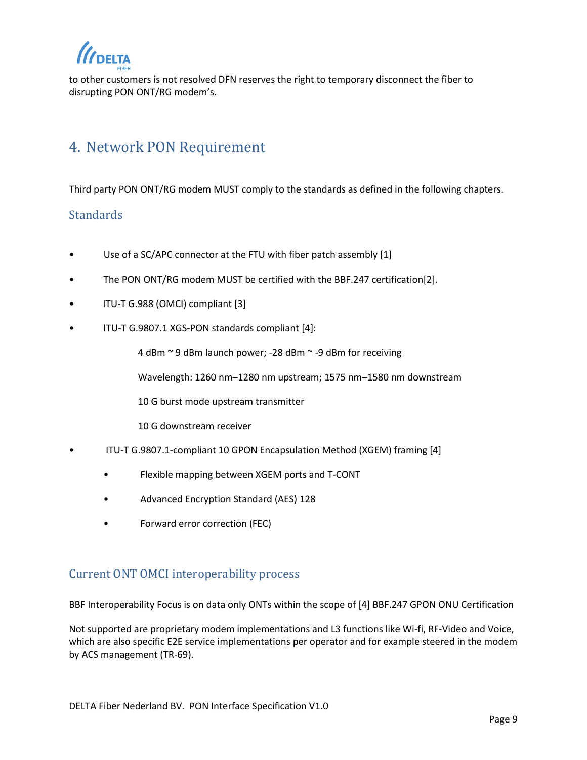to other customers is not resolved DFN reserves the right to temporary disconnect the fiber to disrupting PON ONT/RG modem's.

## <span id="page-8-0"></span>4. Network PON Requirement

Third party PON ONT/RG modem MUST comply to the standards as defined in the following chapters.

## <span id="page-8-1"></span>**Standards**

- Use of a SC/APC connector at the FTU with fiber patch assembly [1]
- The PON ONT/RG modem MUST be certified with the BBF.247 certification[2].
- ITU-T G.988 (OMCI) compliant [3]
- ITU-T G.9807.1 XGS-PON standards compliant [4]:

4 dBm ~ 9 dBm launch power; -28 dBm ~ -9 dBm for receiving

Wavelength: 1260 nm–1280 nm upstream; 1575 nm–1580 nm downstream

10 G burst mode upstream transmitter

10 G downstream receiver

- ITU-T G.9807.1-compliant 10 GPON Encapsulation Method (XGEM) framing [4]
	- Flexible mapping between XGEM ports and T-CONT
	- Advanced Encryption Standard (AES) 128
	- Forward error correction (FEC)

## <span id="page-8-2"></span>Current ONT OMCI interoperability process

BBF Interoperability Focus is on data only ONTs within the scope of [4] BBF.247 GPON ONU Certification

Not supported are proprietary modem implementations and L3 functions like Wi-fi, RF-Video and Voice, which are also specific E2E service implementations per operator and for example steered in the modem by ACS management (TR-69).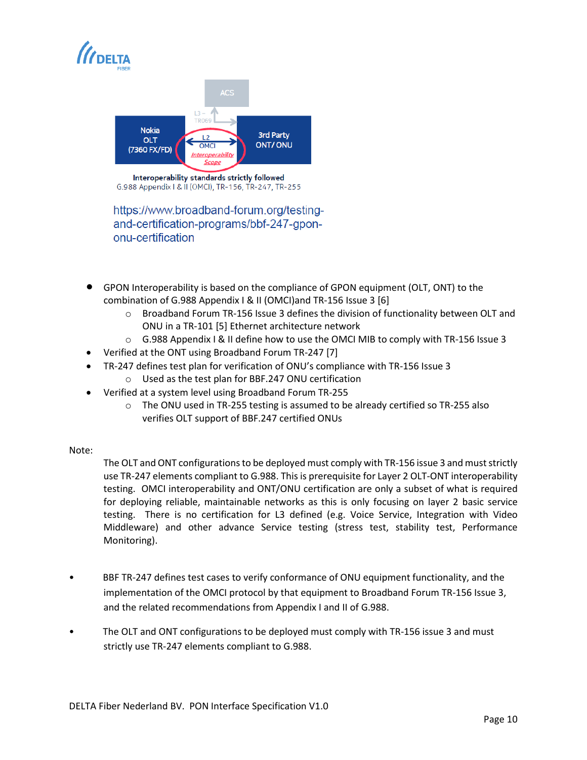



Interoperability standards strictly followed G.988 Appendix | & II (OMCI), TR-156, TR-247, TR-255

https://www.broadband-forum.org/testingand-certification-programs/bbf-247-gpononu-certification

- GPON Interoperability is based on the compliance of GPON equipment (OLT, ONT) to the combination of G.988 Appendix I & II (OMCI)and TR-156 Issue 3 [6]
	- $\circ$  Broadband Forum TR-156 Issue 3 defines the division of functionality between OLT and ONU in a TR-101 [5] Ethernet architecture network
	- $\circ$  G.988 Appendix I & II define how to use the OMCI MIB to comply with TR-156 Issue 3
- Verified at the ONT using Broadband Forum TR-247 [7]
- TR-247 defines test plan for verification of ONU's compliance with TR-156 Issue 3
	- o Used as the test plan for BBF.247 ONU certification
- Verified at a system level using Broadband Forum TR-255
	- $\circ$  The ONU used in TR-255 testing is assumed to be already certified so TR-255 also verifies OLT support of BBF.247 certified ONUs

### Note:

The OLT and ONT configurations to be deployed must comply with TR-156 issue 3 and must strictly use TR-247 elements compliant to G.988. This is prerequisite for Layer 2 OLT-ONT interoperability testing. OMCI interoperability and ONT/ONU certification are only a subset of what is required for deploying reliable, maintainable networks as this is only focusing on layer 2 basic service testing. There is no certification for L3 defined (e.g. Voice Service, Integration with Video Middleware) and other advance Service testing (stress test, stability test, Performance Monitoring).

- BBF TR-247 defines test cases to verify conformance of ONU equipment functionality, and the implementation of the OMCI protocol by that equipment to Broadband Forum TR-156 Issue 3, and the related recommendations from Appendix I and II of G.988.
- The OLT and ONT configurations to be deployed must comply with TR-156 issue 3 and must strictly use TR-247 elements compliant to G.988.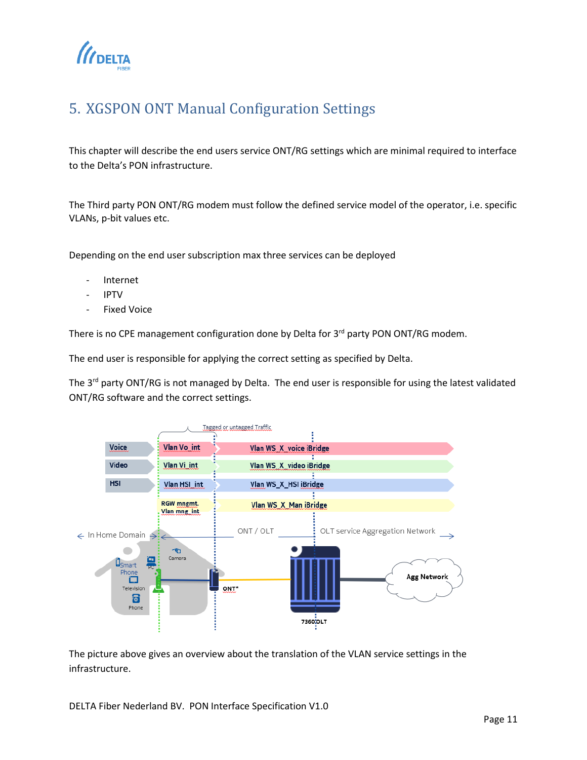

## <span id="page-10-0"></span>5. XGSPON ONT Manual Configuration Settings

This chapter will describe the end users service ONT/RG settings which are minimal required to interface to the Delta's PON infrastructure.

The Third party PON ONT/RG modem must follow the defined service model of the operator, i.e. specific VLANs, p-bit values etc.

Depending on the end user subscription max three services can be deployed

- **Internet**
- IPTV
- **Fixed Voice**

There is no CPE management configuration done by Delta for 3<sup>rd</sup> party PON ONT/RG modem.

The end user is responsible for applying the correct setting as specified by Delta.

The 3<sup>rd</sup> party ONT/RG is not managed by Delta. The end user is responsible for using the latest validated ONT/RG software and the correct settings.



The picture above gives an overview about the translation of the VLAN service settings in the infrastructure.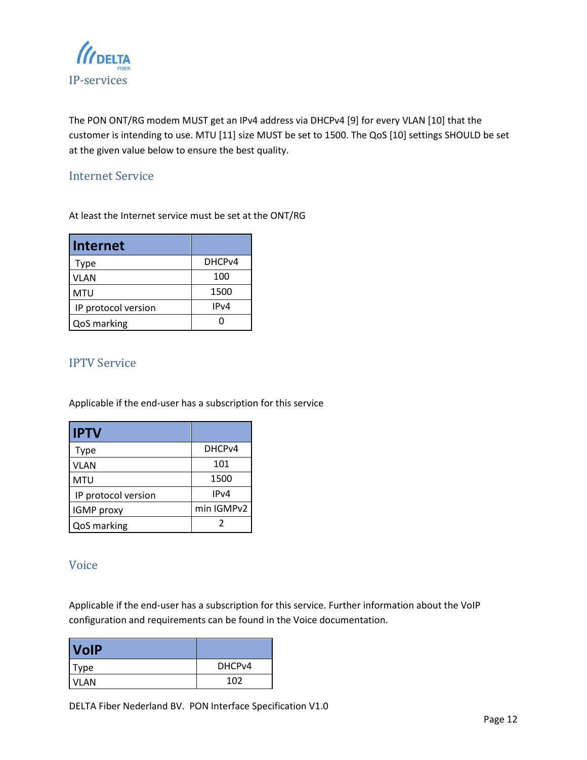<span id="page-11-0"></span>

The PON ONT/RG modem MUST get an IPv4 address via DHCPv4 [9] for every VLAN [10] that the customer is intending to use. MTU [11] size MUST be set to 1500. The QoS [10] settings SHOULD be set at the given value below to ensure the best quality.

## <span id="page-11-1"></span>Internet Service

At least the Internet service must be set at the ONT/RG

| <b>Internet</b>     |                    |
|---------------------|--------------------|
| Type                | DHCP <sub>v4</sub> |
| <b>VLAN</b>         | 100                |
| <b>MTU</b>          | 1500               |
| IP protocol version | IPv4               |
| QoS marking         |                    |

### <span id="page-11-2"></span>IPTV Service

Applicable if the end-user has a subscription for this service

| <b>IPTV</b>         |                    |
|---------------------|--------------------|
| Type                | DHCP <sub>v4</sub> |
| <b>VLAN</b>         | 101                |
| <b>MTU</b>          | 1500               |
| IP protocol version | IP <sub>V</sub> 4  |
| IGMP proxy          | min IGMPv2         |
| QoS marking         |                    |

## <span id="page-11-3"></span>Voice

Applicable if the end-user has a subscription for this service. Further information about the VoIP configuration and requirements can be found in the Voice documentation.

| <b>VolP</b> |        |
|-------------|--------|
| <b>Type</b> | DHCPv4 |
| <b>VLAN</b> | 102    |